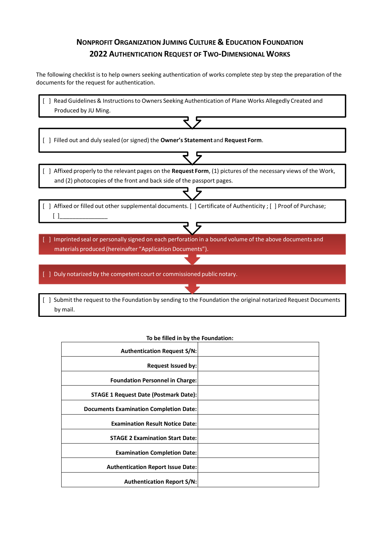## **NONPROFIT ORGANIZATION JUMING CULTURE & EDUCATION FOUNDATION 2022 AUTHENTICATION REQUEST OF TWO-DIMENSIONAL WORKS**

The following checklist is to help owners seeking authentication of works complete step by step the preparation of the documents for the request for authentication.

| Read Guidelines & Instructions to Owners Seeking Authentication of Plane Works Allegedly Created and<br>Produced by JU Ming.                                                              |  |
|-------------------------------------------------------------------------------------------------------------------------------------------------------------------------------------------|--|
|                                                                                                                                                                                           |  |
| Filled out and duly sealed (or signed) the Owner's Statement and Request Form.                                                                                                            |  |
| [ ] Affixed properly to the relevant pages on the Request Form, (1) pictures of the necessary views of the Work,<br>and (2) photocopies of the front and back side of the passport pages. |  |
| Affixed or filled out other supplemental documents. [ ] Certificate of Authenticity ; [ ] Proof of Purchase;                                                                              |  |
| Imprinted seal or personally signed on each perforation in a bound volume of the above documents and<br>materials produced (hereinafter "Application Documents").                         |  |
| Duly notarized by the competent court or commissioned public notary.                                                                                                                      |  |
| Submit the request to the Foundation by sending to the Foundation the original notarized Request Documents<br>by mail.                                                                    |  |

#### **To be filled in by the Foundation:**

| <b>Authentication Request S/N:</b>           |  |
|----------------------------------------------|--|
| Request Issued by:                           |  |
| <b>Foundation Personnel in Charge:</b>       |  |
| <b>STAGE 1 Request Date (Postmark Date):</b> |  |
| Documents Examination Completion Date:       |  |
| <b>Examination Result Notice Date:</b>       |  |
| <b>STAGE 2 Examination Start Date:</b>       |  |
| <b>Examination Completion Date:</b>          |  |
| <b>Authentication Report Issue Date:</b>     |  |
| <b>Authentication Report S/N:</b>            |  |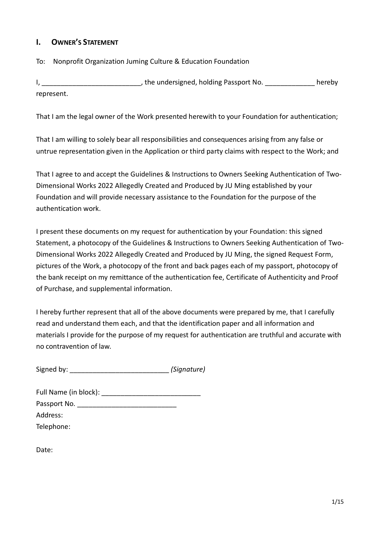## **I. OWNER'S STATEMENT**

To: Nonprofit Organization Juming Culture & Education Foundation

I, \_\_\_\_\_\_\_\_\_\_\_\_\_\_\_\_\_\_\_\_\_\_\_\_\_\_\_\_\_\_\_, the undersigned, holding Passport No. \_\_\_\_\_\_\_\_\_\_\_\_\_\_\_\_\_ hereby represent.

That I am the legal owner of the Work presented herewith to your Foundation for authentication;

That I am willing to solely bear all responsibilities and consequences arising from any false or untrue representation given in the Application or third party claims with respect to the Work; and

That I agree to and accept the Guidelines & Instructions to Owners Seeking Authentication of Two-Dimensional Works 2022 Allegedly Created and Produced by JU Ming established by your Foundation and will provide necessary assistance to the Foundation for the purpose of the authentication work.

I present these documents on my request for authentication by your Foundation: this signed Statement, a photocopy of the Guidelines & Instructions to Owners Seeking Authentication of Two-Dimensional Works 2022 Allegedly Created and Produced by JU Ming, the signed Request Form, pictures of the Work, a photocopy of the front and back pages each of my passport, photocopy of the bank receipt on my remittance of the authentication fee, Certificate of Authenticity and Proof of Purchase, and supplemental information.

I hereby further represent that all of the above documents were prepared by me, that I carefully read and understand them each, and that the identification paper and all information and materials I provide for the purpose of my request for authentication are truthful and accurate with no contravention of law.

| Signed by: | (Signature) |
|------------|-------------|
|            |             |

| Full Name (in block): |  |
|-----------------------|--|
| Passport No.          |  |
| Address:              |  |
| Telephone:            |  |

Date: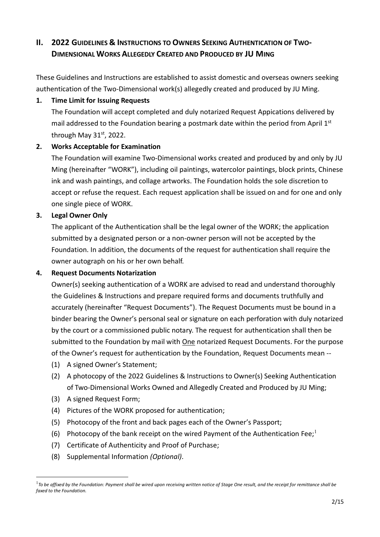## **II. 2022** GUIDELINES & INSTRUCTIONS TO OWNERS SEEKING AUTHENTICATION OF **TWO DIMENSIONAL WORKS ALLEGEDLY CREATED AND PRODUCED BY JU MING**

These Guidelines and Instructions are established to assist domestic and overseas owners seeking authentication of the Two-Dimensional work(s) allegedly created and produced by JU Ming.

## **1. Time Limit for Issuing Requests**

The Foundation will accept completed and duly notarized Request Appications delivered by mail addressed to the Foundation bearing a postmark date within the period from April 1st through May 31st, 2022.

## **2. Works Acceptable for Examination**

The Foundation will examine Two-Dimensional works created and produced by and only by JU Ming (hereinafter "WORK"), including oil paintings, watercolor paintings, block prints, Chinese ink and wash paintings, and collage artworks. The Foundation holds the sole discretion to accept or refuse the request. Each request application shall be issued on and for one and only one single piece of WORK.

## **3. Legal Owner Only**

The applicant of the Authentication shall be the legal owner of the WORK; the application submitted by a designated person or a non-owner person will not be accepted by the Foundation. In addition, the documents of the request for authentication shall require the owner autograph on his or her own behalf.

## **4. Request Documents Notarization**

Owner(s) seeking authentication of a WORK are advised to read and understand thoroughly the Guidelines & Instructions and prepare required forms and documents truthfully and accurately (hereinafter "Request Documents"). The Request Documents must be bound in a binder bearing the Owner's personal seal or signature on each perforation with duly notarized by the court or a commissioned public notary. The request for authentication shall then be submitted to the Foundation by mail with One notarized Request Documents. For the purpose of the Owner's request for authentication by the Foundation, Request Documents mean --

- (1) A signed Owner's Statement;
- (2) A photocopy of the 2022 Guidelines & Instructions to Owner(s) Seeking Authentication of Two-Dimensional Works Owned and Allegedly Created and Produced by JU Ming;
- (3) A signed Request Form;

1

- (4) Pictures of the WORK proposed for authentication;
- (5) Photocopy of the front and back pages each of the Owner's Passport;
- (6) Photocopy of the bank receipt on the wired Payment of the Authentication Fee;<sup>1</sup>
- (7) Certificate of Authenticity and Proof of Purchase;
- (8) Supplemental Information *(Optional)*.

<sup>1</sup> *To be affixed by the Foundation: Payment shall be wired upon receiving written notice of Stage One result, and the receipt for remittance shall be faxed to the Foundation.*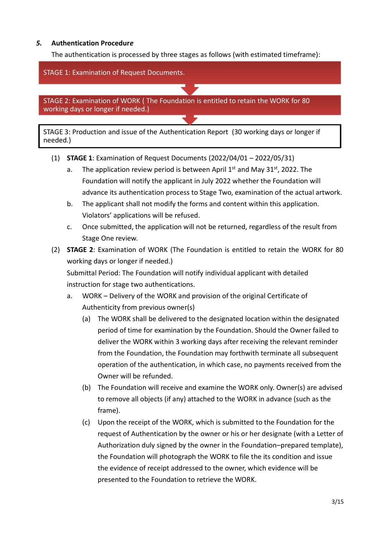## *5.* **Authentication Procedur***e*

The authentication is processed by three stages as follows (with estimated timeframe):



- (1) **STAGE 1**: Examination of Request Documents (2022/04/01 2022/05/31)
	- a. The application review period is between April  $1<sup>st</sup>$  and May 31<sup>st</sup>, 2022. The Foundation will notify the applicant in July 2022 whether the Foundation will advance its authentication process to Stage Two, examination of the actual artwork.
	- b. The applicant shall not modify the forms and content within this application. Violators' applications will be refused.
	- c. Once submitted, the application will not be returned, regardless of the result from Stage One review.
- (2) **STAGE 2**: Examination of WORK (The Foundation is entitled to retain the WORK for 80 working days or longer if needed.)

Submittal Period: The Foundation will notify individual applicant with detailed instruction for stage two authentications.

- a. WORK Delivery of the WORK and provision of the original Certificate of Authenticity from previous owner(s)
	- (a) The WORK shall be delivered to the designated location within the designated period of time for examination by the Foundation. Should the Owner failed to deliver the WORK within 3 working days after receiving the relevant reminder from the Foundation, the Foundation may forthwith terminate all subsequent operation of the authentication, in which case, no payments received from the Owner will be refunded.
	- (b) The Foundation will receive and examine the WORK only. Owner(s) are advised to remove all objects (if any) attached to the WORK in advance (such as the frame).
	- (c) Upon the receipt of the WORK, which is submitted to the Foundation for the request of Authentication by the owner or his or her designate (with a Letter of Authorization duly signed by the owner in the Foundation–prepared template), the Foundation will photograph the WORK to file the its condition and issue the evidence of receipt addressed to the owner, which evidence will be presented to the Foundation to retrieve the WORK.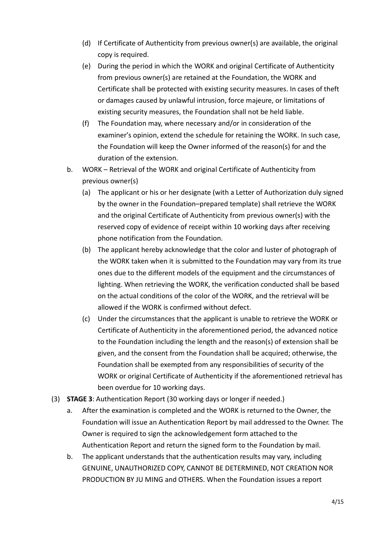- (d) If Certificate of Authenticity from previous owner(s) are available, the original copy is required.
- (e) During the period in which the WORK and original Certificate of Authenticity from previous owner(s) are retained at the Foundation, the WORK and Certificate shall be protected with existing security measures. In cases of theft or damages caused by unlawful intrusion, force majeure, or limitations of existing security measures, the Foundation shall not be held liable.
- (f) The Foundation may, where necessary and/or in consideration of the examiner's opinion, extend the schedule for retaining the WORK. In such case, the Foundation will keep the Owner informed of the reason(s) for and the duration of the extension.
- b. WORK Retrieval of the WORK and original Certificate of Authenticity from previous owner(s)
	- (a) The applicant or his or her designate (with a Letter of Authorization duly signed by the owner in the Foundation–prepared template) shall retrieve the WORK and the original Certificate of Authenticity from previous owner(s) with the reserved copy of evidence of receipt within 10 working days after receiving phone notification from the Foundation.
	- (b) The applicant hereby acknowledge that the color and luster of photograph of the WORK taken when it is submitted to the Foundation may vary from its true ones due to the different models of the equipment and the circumstances of lighting. When retrieving the WORK, the verification conducted shall be based on the actual conditions of the color of the WORK, and the retrieval will be allowed if the WORK is confirmed without defect.
	- (c) Under the circumstances that the applicant is unable to retrieve the WORK or Certificate of Authenticity in the aforementioned period, the advanced notice to the Foundation including the length and the reason(s) of extension shall be given, and the consent from the Foundation shall be acquired; otherwise, the Foundation shall be exempted from any responsibilities of security of the WORK or original Certificate of Authenticity if the aforementioned retrieval has been overdue for 10 working days.
- (3) **STAGE 3**: Authentication Report (30 working days or longer if needed.)
	- a. After the examination is completed and the WORK is returned to the Owner, the Foundation will issue an Authentication Report by mail addressed to the Owner. The Owner is required to sign the acknowledgement form attached to the Authentication Report and return the signed form to the Foundation by mail.
	- b. The applicant understands that the authentication results may vary, including GENUINE, UNAUTHORIZED COPY, CANNOT BE DETERMINED, NOT CREATION NOR PRODUCTION BY JU MING and OTHERS. When the Foundation issues a report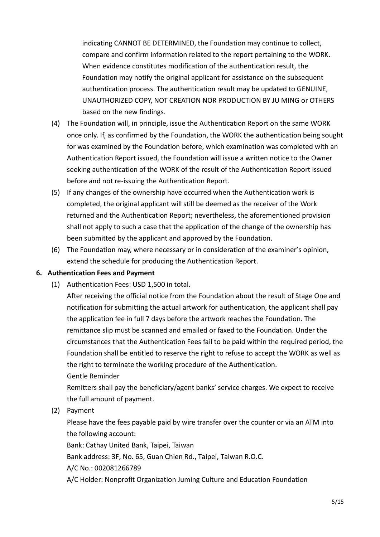indicating CANNOT BE DETERMINED, the Foundation may continue to collect, compare and confirm information related to the report pertaining to the WORK. When evidence constitutes modification of the authentication result, the Foundation may notify the original applicant for assistance on the subsequent authentication process. The authentication result may be updated to GENUINE, UNAUTHORIZED COPY, NOT CREATION NOR PRODUCTION BY JU MING or OTHERS based on the new findings.

- (4) The Foundation will, in principle, issue the Authentication Report on the same WORK once only. If, as confirmed by the Foundation, the WORK the authentication being sought for was examined by the Foundation before, which examination was completed with an Authentication Report issued, the Foundation will issue a written notice to the Owner seeking authentication of the WORK of the result of the Authentication Report issued before and not re-issuing the Authentication Report.
- (5) If any changes of the ownership have occurred when the Authentication work is completed, the original applicant will still be deemed as the receiver of the Work returned and the Authentication Report; nevertheless, the aforementioned provision shall not apply to such a case that the application of the change of the ownership has been submitted by the applicant and approved by the Foundation.
- (6) The Foundation may, where necessary or in consideration of the examiner's opinion, extend the schedule for producing the Authentication Report.

## **6. Authentication Fees and Payment**

(1) Authentication Fees: USD 1,500 in total.

After receiving the official notice from the Foundation about the result of Stage One and notification for submitting the actual artwork for authentication, the applicant shall pay the application fee in full 7 days before the artwork reaches the Foundation. The remittance slip must be scanned and emailed or faxed to the Foundation. Under the circumstances that the Authentication Fees fail to be paid within the required period, the Foundation shall be entitled to reserve the right to refuse to accept the WORK as well as the right to terminate the working procedure of the Authentication.

Gentle Reminder

Remitters shall pay the beneficiary/agent banks' service charges. We expect to receive the full amount of payment.

(2) Payment

Please have the fees payable paid by wire transfer over the counter or via an ATM into the following account:

Bank: Cathay United Bank, Taipei, Taiwan

Bank address: 3F, No. 65, Guan Chien Rd., Taipei, Taiwan R.O.C.

A/C No.: 002081266789

A/C Holder: Nonprofit Organization Juming Culture and Education Foundation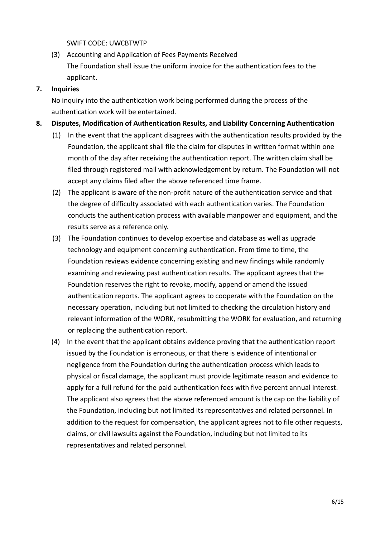### SWIFT CODE: UWCBTWTP

(3) Accounting and Application of Fees Payments Received The Foundation shall issue the uniform invoice for the authentication fees to the applicant.

## **7. Inquiries**

No inquiry into the authentication work being performed during the process of the authentication work will be entertained.

### **8. Disputes, Modification of Authentication Results, and Liability Concerning Authentication**

- (1) In the event that the applicant disagrees with the authentication results provided by the Foundation, the applicant shall file the claim for disputes in written format within one month of the day after receiving the authentication report. The written claim shall be filed through registered mail with acknowledgement by return. The Foundation will not accept any claims filed after the above referenced time frame.
- (2) The applicant is aware of the non-profit nature of the authentication service and that the degree of difficulty associated with each authentication varies. The Foundation conducts the authentication process with available manpower and equipment, and the results serve as a reference only.
- (3) The Foundation continues to develop expertise and database as well as upgrade technology and equipment concerning authentication. From time to time, the Foundation reviews evidence concerning existing and new findings while randomly examining and reviewing past authentication results. The applicant agrees that the Foundation reserves the right to revoke, modify, append or amend the issued authentication reports. The applicant agrees to cooperate with the Foundation on the necessary operation, including but not limited to checking the circulation history and relevant information of the WORK, resubmitting the WORK for evaluation, and returning or replacing the authentication report.
- (4) In the event that the applicant obtains evidence proving that the authentication report issued by the Foundation is erroneous, or that there is evidence of intentional or negligence from the Foundation during the authentication process which leads to physical or fiscal damage, the applicant must provide legitimate reason and evidence to apply for a full refund for the paid authentication fees with five percent annual interest. The applicant also agrees that the above referenced amount is the cap on the liability of the Foundation, including but not limited its representatives and related personnel. In addition to the request for compensation, the applicant agrees not to file other requests, claims, or civil lawsuits against the Foundation, including but not limited to its representatives and related personnel.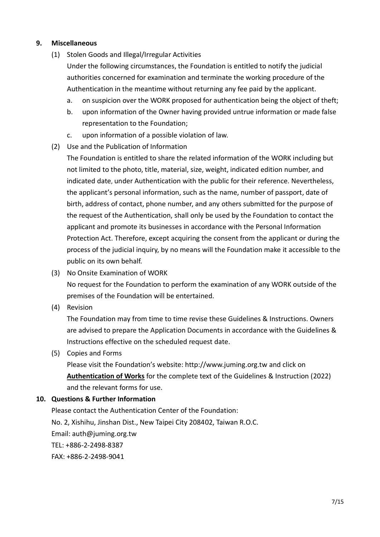### **9. Miscellaneous**

(1) Stolen Goods and Illegal/Irregular Activities

Under the following circumstances, the Foundation is entitled to notify the judicial authorities concerned for examination and terminate the working procedure of the Authentication in the meantime without returning any fee paid by the applicant.

- a. on suspicion over the WORK proposed for authentication being the object of theft;
- b. upon information of the Owner having provided untrue information or made false representation to the Foundation;
- c. upon information of a possible violation of law.
- (2) Use and the Publication of Information

The Foundation is entitled to share the related information of the WORK including but not limited to the photo, title, material, size, weight, indicated edition number, and indicated date, under Authentication with the public for their reference. Nevertheless, the applicant's personal information, such as the name, number of passport, date of birth, address of contact, phone number, and any others submitted for the purpose of the request of the Authentication, shall only be used by the Foundation to contact the applicant and promote its businesses in accordance with the Personal Information Protection Act. Therefore, except acquiring the consent from the applicant or during the process of the judicial inquiry, by no means will the Foundation make it accessible to the public on its own behalf.

- (3) No Onsite Examination of WORK No request for the Foundation to perform the examination of any WORK outside of the premises of the Foundation will be entertained.
- (4) Revision

The Foundation may from time to time revise these Guidelines & Instructions. Owners are advised to prepare the Application Documents in accordance with the Guidelines & Instructions effective on the scheduled request date.

(5) Copies and Forms

Please visit the Foundation's website: [http://www.juming.org.tw](http://www.juming.org.tw/) and click on **Authentication of Works** for the complete text of the Guidelines & Instruction (2022) and the relevant forms for use.

## **10. Questions & Further Information**

Please contact the Authentication Center of the Foundation: No. 2, Xishihu, Jinshan Dist., New Taipei City 208402, Taiwan R.O.C. Email: [auth@juming.org.tw](mailto:auth@juming.org.tw) TEL: +886-2-2498-8387 FAX: +886-2-2498-9041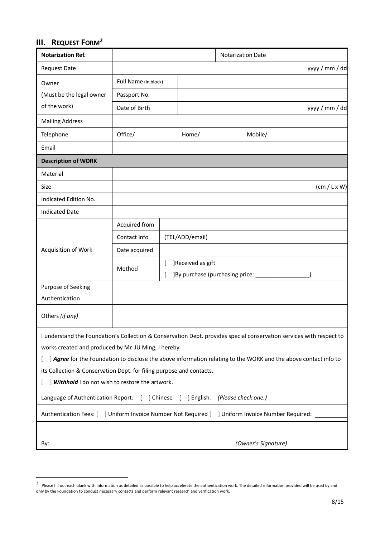# **III. REQUEST FORM<sup>2</sup>**

<u>.</u>

| <b>Notarization Ref.</b>                                                                                             |                      |                 |                   | <b>Notarization Date</b>           |                                                                                                                 |  |
|----------------------------------------------------------------------------------------------------------------------|----------------------|-----------------|-------------------|------------------------------------|-----------------------------------------------------------------------------------------------------------------|--|
| <b>Request Date</b>                                                                                                  |                      |                 |                   |                                    | yyyy / mm / dd                                                                                                  |  |
| Owner                                                                                                                | Full Name (in block) |                 |                   |                                    |                                                                                                                 |  |
| (Must be the legal owner                                                                                             | Passport No.         |                 |                   |                                    |                                                                                                                 |  |
| of the work)                                                                                                         | Date of Birth        |                 |                   |                                    | yyyy / mm / dd                                                                                                  |  |
| <b>Mailing Address</b>                                                                                               |                      |                 |                   |                                    |                                                                                                                 |  |
| Telephone                                                                                                            | Office/              |                 | Home/             | Mobile/                            |                                                                                                                 |  |
| Email                                                                                                                |                      |                 |                   |                                    |                                                                                                                 |  |
| <b>Description of WORK</b>                                                                                           |                      |                 |                   |                                    |                                                                                                                 |  |
| Material                                                                                                             |                      |                 |                   |                                    |                                                                                                                 |  |
| Size                                                                                                                 |                      |                 |                   |                                    | $(cm / L \times W)$                                                                                             |  |
| Indicated Edition No.                                                                                                |                      |                 |                   |                                    |                                                                                                                 |  |
| <b>Indicated Date</b>                                                                                                |                      |                 |                   |                                    |                                                                                                                 |  |
|                                                                                                                      | Acquired from        |                 |                   |                                    |                                                                                                                 |  |
|                                                                                                                      | Contact info         | (TEL/ADD/email) |                   |                                    |                                                                                                                 |  |
| Acquisition of Work                                                                                                  | Date acquired        |                 |                   |                                    |                                                                                                                 |  |
|                                                                                                                      | Method               |                 | ]Received as gift |                                    |                                                                                                                 |  |
|                                                                                                                      |                      |                 |                   | ] By purchase (purchasing price: _ |                                                                                                                 |  |
| Purpose of Seeking                                                                                                   |                      |                 |                   |                                    |                                                                                                                 |  |
| Authentication                                                                                                       |                      |                 |                   |                                    |                                                                                                                 |  |
| Others (if any)                                                                                                      |                      |                 |                   |                                    |                                                                                                                 |  |
| I understand the Foundation's Collection & Conservation Dept. provides special conservation services with respect to |                      |                 |                   |                                    |                                                                                                                 |  |
| works created and produced by Mr. JU Ming, I hereby                                                                  |                      |                 |                   |                                    |                                                                                                                 |  |
|                                                                                                                      |                      |                 |                   |                                    | ] Agree for the Foundation to disclose the above information relating to the WORK and the above contact info to |  |
| its Collection & Conservation Dept. for filing purpose and contacts.                                                 |                      |                 |                   |                                    |                                                                                                                 |  |
| ] Withhold I do not wish to restore the artwork.                                                                     |                      |                 |                   |                                    |                                                                                                                 |  |
| Language of Authentication Report: [ ] Chinese<br>(Please check one.)<br>[ ] English.                                |                      |                 |                   |                                    |                                                                                                                 |  |
| ] Uniform Invoice Number Not Required [ ] Uniform Invoice Number Required:<br>Authentication Fees: [                 |                      |                 |                   |                                    |                                                                                                                 |  |
|                                                                                                                      |                      |                 |                   |                                    |                                                                                                                 |  |
| By:                                                                                                                  |                      |                 |                   | (Owner's Signature)                |                                                                                                                 |  |

 $^2$  Please fill out each blank with information as detailed as possible to help accelerate the authentication work. The detailed information provided will be used by and only by the Foundation to conduct necessary contacts and perform relevant research and verification work.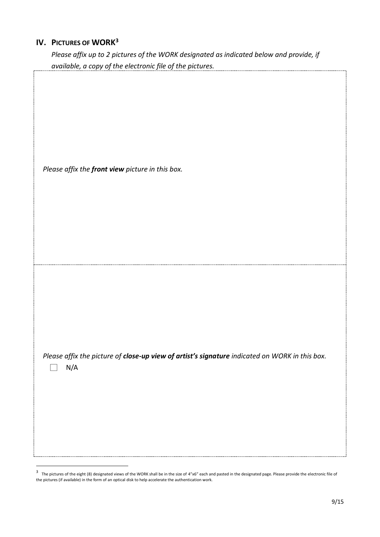## **IV. PICTURES OF WORK<sup>3</sup>**

ŗ

<u>.</u>

*Please affix up to 2 pictures of the WORK designated as indicated below and provide, if available, a copy of the electronic file of the pictures.* 

| Please affix the front view picture in this box.                                                                          |
|---------------------------------------------------------------------------------------------------------------------------|
| Please affix the picture of close-up view of artist's signature indicated on WORK in this box.<br>$\mathsf{N}/\mathsf{A}$ |

 $3$  The pictures of the eight (8) designated views of the WORK shall be in the size of 4"x6" each and pasted in the designated page. Please provide the electronic file of the pictures (if available) in the form of an optical disk to help accelerate the authentication work.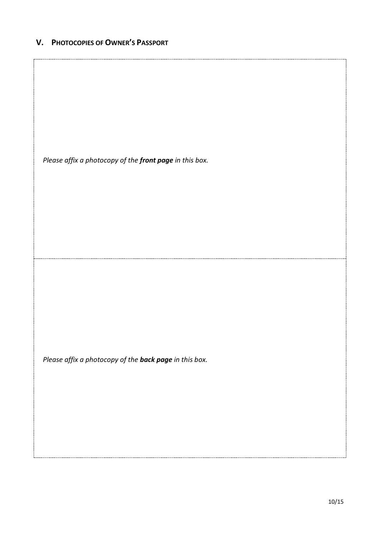## **V. PHOTOCOPIES OF OWNER'S PASSPORT**

*Please affix a photocopy of the front page in this box.*

*Please affix a photocopy of the back page in this box.*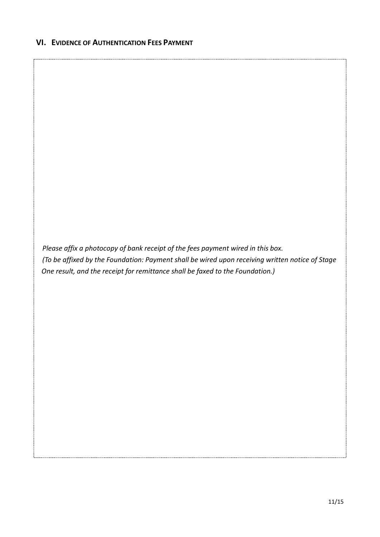*Please affix a photocopy of bank receipt of the fees payment wired in this box. (To be affixed by the Foundation: Payment shall be wired upon receiving written notice of Stage One result, and the receipt for remittance shall be faxed to the Foundation.)*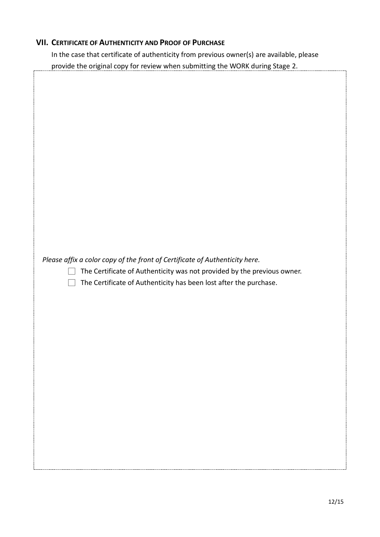## **VII. CERTIFICATE OF AUTHENTICITY AND PROOF OF PURCHASE**

In the case that certificate of authenticity from previous owner(s) are available, please provide the original copy for review when submitting the WORK during Stage 2.

| Please affix a color copy of the front of Certificate of Authenticity here.<br>The Certificate of Authenticity was not provided by the previous owner.<br>The Certificate of Authenticity has been lost after the purchase. |  |
|-----------------------------------------------------------------------------------------------------------------------------------------------------------------------------------------------------------------------------|--|
|                                                                                                                                                                                                                             |  |
|                                                                                                                                                                                                                             |  |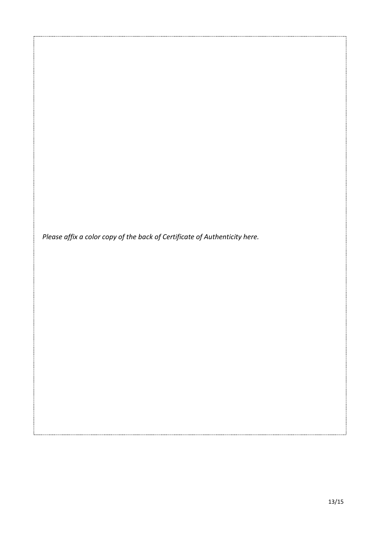*Please affix a color copy of the back of Certificate of Authenticity here.*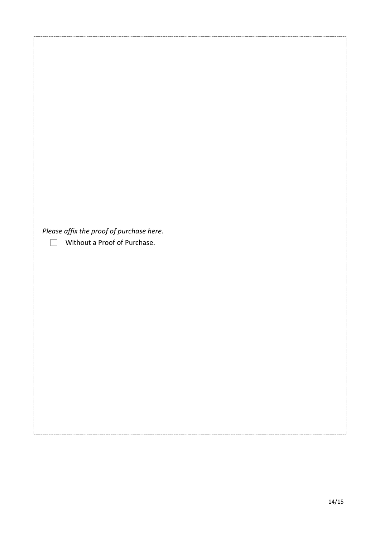*Please affix the proof of purchase here.*

□ Without a Proof of Purchase.